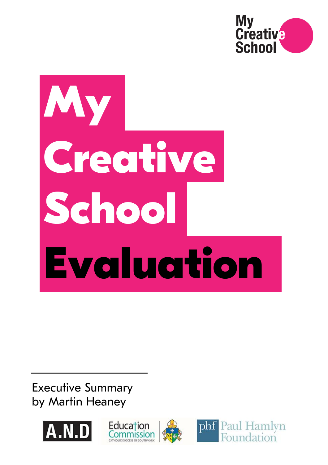

# **My Creative School Evaluation**

Executive Summary by Martin Heaney

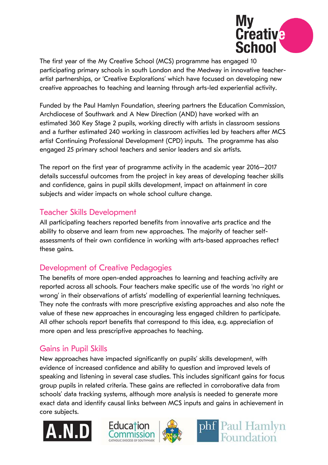

The first year of the My Creative School (MCS) programme has engaged 10 participating primary schools in south London and the Medway in innovative teacherartist partnerships, or 'Creative Explorations' which have focused on developing new creative approaches to teaching and learning through arts-led experiential activity.

Funded by the Paul Hamlyn Foundation, steering partners the Education Commission, Archdiocese of Southwark and A New Direction (AND) have worked with an estimated 360 Key Stage 2 pupils, working directly with artists in classroom sessions and a further estimated 240 working in classroom activities led by teachers after MCS artist Continuing Professional Development (CPD) inputs. The programme has also engaged 25 primary school teachers and senior leaders and six artists.

The report on the first year of programme activity in the academic year 2016–2017 details successful outcomes from the project in key areas of developing teacher skills and confidence, gains in pupil skills development, impact on attainment in core subjects and wider impacts on whole school culture change.

#### Teacher Skills Development

All participating teachers reported benefits from innovative arts practice and the ability to observe and learn from new approaches. The majority of teacher selfassessments of their own confidence in working with arts-based approaches reflect these gains.

## Development of Creative Pedagogies

The benefits of more open-ended approaches to learning and teaching activity are reported across all schools. Four teachers make specific use of the words 'no right or wrong' in their observations of artists' modelling of experiential learning techniques. They note the contrasts with more prescriptive existing approaches and also note the value of these new approaches in encouraging less engaged children to participate. All other schools report benefits that correspond to this idea, e.g. appreciation of more open and less prescriptive approaches to teaching.

## Gains in Pupil Skills

New approaches have impacted significantly on pupils' skills development, with evidence of increased confidence and ability to question and improved levels of speaking and listening in several case studies. This includes significant gains for focus group pupils in related criteria. These gains are reflected in corroborative data from schools' data tracking systems, although more analysis is needed to generate more exact data and identify causal links between MCS inputs and gains in achievement in core subjects.